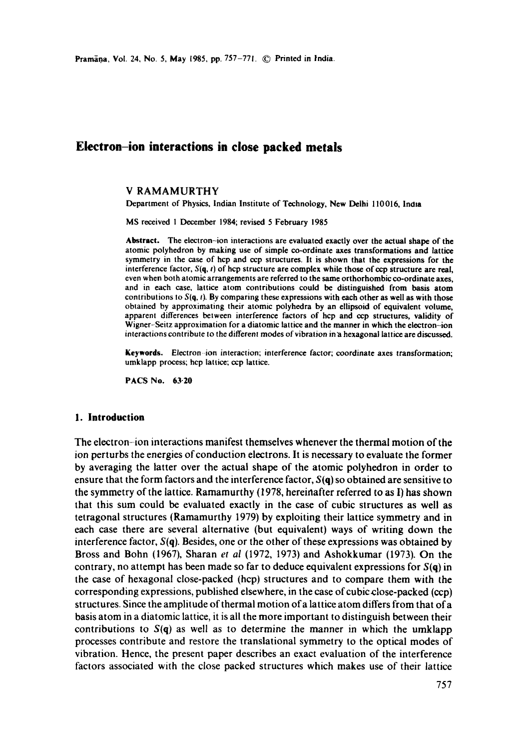# **Electron-ion interactions in close packed metals**

## V RAMAMURTHY

Department of Physics, Indian Institute of Technology, New Delhi 110016, India

MS received 1 December 1984; revised 5 February 1985

**Abstract.** The electron-ion interactions are evaluated exactly over the actual shape of **the**  atomic polyhedron by making use of simple co-ordinate axes transformations and lattice symmetry in the case of hcp and ccp structures. It is shown that the expressions for **the**  interference factor, *S(q, t)* of hcp structure are complex while those of cop structure are real, even when both atomic arrangements are referred to the same orthorhombic co-ordinate **axes,**  and in each case, lattice atom contributions could be distinguished from basis atom contributions to *S(q, t).* By comparing these expressions with each other as well as with those obtained by approximating their atomic polyhedra by an ellipsoid of equivalent volume, apparent differences between interference factors of hcp and ccp structures, validity of Wigner-Seitz approximation for a diatomic lattice and the manner in which the electron-ion interactions contribute to the different modes of vibration in'a hexagonal lattice are discussed.

**Keywords.** Electron ion interaction; interference factor; coordinate axes transformation; umklapp process; hop lattice; ccp lattice.

**PACS No. 63"20** 

#### **1. Introduction**

The electron-ion interactions manifest themselves whenever the thermal motion of the ion perturbs the energies of conduction electrons. It is necessary to evaluate the former by averaging the latter over the actual shape of the atomic polyhedron in order to ensure that the form factors and the interference factor, *S(q)* so obtained are sensitive to the symmetry of the lattice. Ramamurthy (1978, hereinafter referred to as I) has shown that this sum could be evaluated exactly in the case of cubic structures as well as tetragonal structures (Ramamurthy 1979) by exploiting their lattice symmetry and in each case there are several alternative (but equivalent) ways of writing down the interference factor, *S(q).* Besides, one or the other of these expressions was obtained by Bross and Bohn (1967), Sharan *et al* (1972, 1973) and Ashokkumar (1973). On the contrary, no attempt has been made so far to deduce equivalent expressions for *S(q)* in the case of hexagonal close-packed (hcp) structures and to compare them with the corresponding expressions, published elsewhere, in the case of cubicclose-packed (ccp) structures. Since the amplitude of thermal motion of a lattice atom differs from that of a basis atom in a diatomic lattice, it is all the more important to distinguish between their contributions to  $S(q)$  as well as to determine the manner in which the umklapp processes contribute and restore the translational symmetry to the optical modes of vibration. Hence, the present paper describes an exact evaluation of the interference factors associated with the close packed structures which makes use of their lattice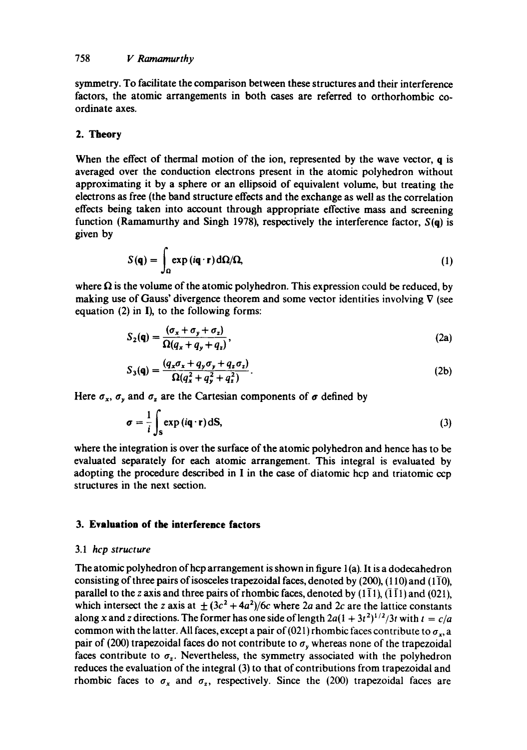symmetry. To facilitate the comparison between these structures and their interference factors, the atomic arrangements in both eases are referred to orthorhombic coordinate axes.

## 2. **Theory**

When the effect of thermal motion of the ion, represented by the wave vector, q is averaged over the conduction electrons present in the atomic polyhedron without approximating it by a sphere or an ellipsoid of equivalent volume, but treating the electrons as free (the band structure effects and the exchange as well as the correlation effects being taken into account through appropriate effective mass and screening function (Ramamurthy and Singh 1978), respectively the interference factor,  $S(q)$  is given by

$$
S(\mathbf{q}) = \int_{\Omega} \exp(i\mathbf{q} \cdot \mathbf{r}) d\Omega / \Omega, \tag{1}
$$

where  $\Omega$  is the volume of the atomic polyhedron. This expression could be reduced, by making use of Gauss' divergence theorem and some vector identities involving  $\nabla$  (see equation  $(2)$  in I), to the following forms:

$$
S_2(\mathbf{q}) = \frac{(\sigma_x + \sigma_y + \sigma_z)}{\Omega(q_x + q_y + q_z)},
$$
\n(2a)

$$
S_3(\mathbf{q}) = \frac{(q_x \sigma_x + q_y \sigma_y + q_z \sigma_z)}{\Omega(q_x^2 + q_y^2 + q_z^2)}.
$$
 (2b)

Here  $\sigma_x$ ,  $\sigma_y$  and  $\sigma_z$  are the Cartesian components of  $\sigma$  defined by

$$
\sigma = \frac{1}{i} \int_{\mathbf{S}} \exp(i\mathbf{q} \cdot \mathbf{r}) \, \mathrm{d}\mathbf{S},\tag{3}
$$

where the integration is over the surface of the atomic polyhedron and hence has to be evaluated separately for each atomic arrangement. This integral is evaluated by adopting the procedure described in I in the ease of diatomic hcp and triatomic ccp structures in the next section.

# **3. Evaluation of the interference factors**

## 3.1 *hcp structure*

The atomic polyhedron of hcp arrangement is shown in figure  $1(a)$ . It is a dodecahedron consisting of three pairs of isosceles trapezoidal faces, denoted by  $(200)$ ,  $(110)$  and  $(1\overline{1}0)$ , parallel to the z axis and three pairs of rhombic faces, denoted by  $(1\bar{1}1)$ ,  $(\bar{1}\bar{1}1)$  and  $(0\bar{2}1)$ , which intersect the z axis at  $\pm (3c^2 + 4a^2)/6c$  where 2a and 2c are the lattice constants along x and z directions. The former has one side of length  $2a(1 + 3t^2)^{1/2}/3t$  with  $t = c/a$ common with the latter. All faces, except a pair of (021) rhombic faces contribute to  $\sigma_x$ , a pair of (200) trapezoidal faces do not contribute to  $\sigma<sub>y</sub>$  whereas none of the trapezoidal faces contribute to  $\sigma_z$ . Nevertheless, the symmetry associated with the polyhedron reduces the evaluation of the integral (3) to that of contributions from trapezoidal and rhombic faces to  $\sigma_x$  and  $\sigma_z$ , respectively. Since the (200) trapezoidal faces are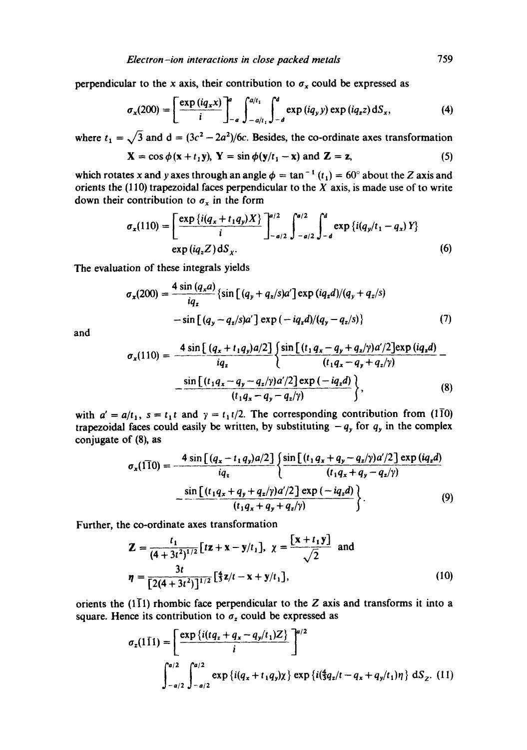perpendicular to the x axis, their contribution to  $\sigma_x$  could be expressed as

$$
\sigma_x(200) = \left[\frac{\exp(iq_x x)}{i}\right]_{-a}^{a} \int_{-a/t_1}^{a/t_1} \int_{-d}^{d} \exp(iq_y y) \exp(iq_z z) dS_x, \tag{4}
$$

where  $t_1 = \sqrt{3}$  and  $d = (3c^2 - 2a^2)/6c$ . Besides, the co-ordinate axes transformation

$$
\mathbf{X} = \cos \phi(\mathbf{x} + t_1 \mathbf{y}), \mathbf{Y} = \sin \phi(\mathbf{y}/t_1 - \mathbf{x}) \text{ and } \mathbf{Z} = \mathbf{z},
$$
 (5)

which rotates x and y axes through an angle  $\phi = \tan^{-1}(t_1) = 60^\circ$  about the Z axis and orients the (110) trapezoidal faces perpendicular to the  $X$  axis, is made use of to write down their contribution to  $\sigma_x$  in the form

$$
\sigma_x(110) = \left[\frac{\exp\left\{i(q_x + t_1 q_y)X\right\}}{i}\right]_{-a/2}^{a/2} \int_{-a/2}^{a/2} \int_{-d}^{d} \exp\left\{i(q_y/t_1 - q_x)Y\right\}
$$
  
 
$$
\exp\left(iq_z Z\right) dS_x. \tag{6}
$$

The evaluation of these integrals yields

$$
\sigma_x(200) = \frac{4 \sin (q_x a)}{iq_x} \{ \sin [(q_y + q_z/s)a'] \exp (iq_x d)/(q_y + q_z/s) - \sin [(q_y - q_z/s)a'] \exp (-iq_x d)/(q_y - q_z/s) \}
$$
(7)

and

$$
\sigma_x(110) = \frac{4 \sin \left[ (q_x + t_1 q_y) a/2 \right]}{iq_x} \left\{ \frac{\sin \left[ (t_1 q_x - q_y + q_z / \gamma) a'/2 \right] \exp (iq_z d)}{(t_1 q_x - q_y + q_z / \gamma)} - \frac{\sin \left[ (t_1 q_x - q_y - q_z / \gamma) a'/2 \right] \exp (-iq_z d)}{(t_1 q_x - q_y - q_z / \gamma)} \right\},\tag{8}
$$

with  $a' = a/t_1$ ,  $s = t_1t$  and  $\gamma = t_1t/2$ . The corresponding contribution from (110) trapezoidal faces could easily be written, by substituting  $-q_y$  for  $q_y$  in the complex conjugate of (8), as

$$
\sigma_x(110) = \frac{4 \sin \left[ (q_x - t_1 q_y) a/2 \right]}{iq_x} \left\{ \frac{\sin \left[ (t_1 q_x + q_y - q_z / \gamma) a'/2 \right] \exp (iq_z d)}{(t_1 q_x + q_y - q_z / \gamma)} - \frac{\sin \left[ (t_1 q_x + q_y + q_z / \gamma) a'/2 \right] \exp (-iq_z d)}{(t_1 q_x + q_y + q_z / \gamma)} \right\}.
$$
\n(9)

Further, the co-ordinate axes transformation

$$
\mathbf{Z} = \frac{t_1}{(4+3t^2)^{1/2}} \left[ tz + x - y/t_1 \right], \ \ \chi = \frac{\left[ x + t_1 y \right]}{\sqrt{2}} \ \ \text{and}
$$
\n
$$
\eta = \frac{3t}{\left[ 2(4+3t^2) \right]^{1/2}} \left[ \frac{4}{3} z/t - x + y/t_1 \right], \tag{10}
$$

orients the  $(1\bar{1}1)$  rhombic face perpendicular to the Z axis and transforms it into a square. Hence its contribution to  $\sigma_z$  could be expressed as

$$
\sigma_z(1\bar{1}1) = \left[\frac{\exp\left\{i(tq_z + q_x - q_y/t_1)Z\right\}}{i}\right]^{a/2}
$$

$$
\int_{-a/2}^{a/2} \int_{-\alpha/2}^{a/2} \exp\left\{i(q_x + t_1q_y)\chi\right\} \exp\left\{i(\frac{4}{3}q_z/t - q_x + q_y/t_1)\eta\right\} dS_z. (11)
$$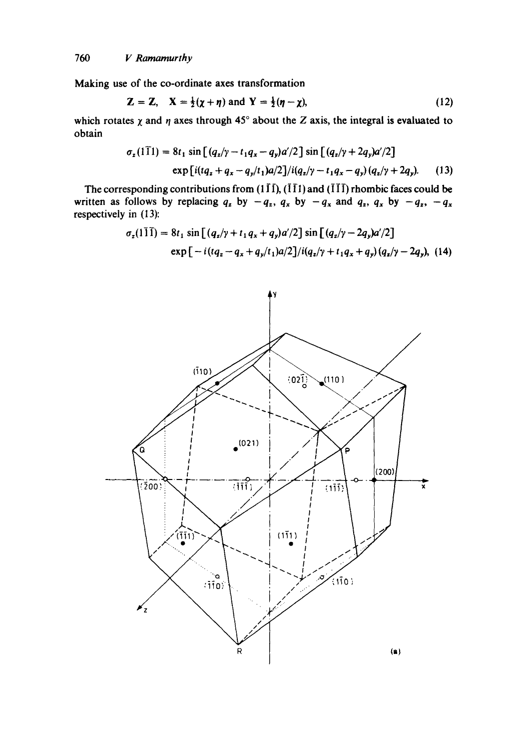*760 V Ramamurthy* 

Making use of the co-ordinate axes transformation

$$
Z = Z, \quad X = \frac{1}{2}(\chi + \eta) \text{ and } Y = \frac{1}{2}(\eta - \chi), \tag{12}
$$

which rotates  $\chi$  and  $\eta$  axes through 45° about the Z axis, the integral is evaluated to obtain

$$
\sigma_z(1\bar{1}1) = 8t_1 \sin \left[ (q_z/\gamma - t_1 q_x - q_y) a'/2 \right] \sin \left[ (q_z/\gamma + 2q_y) a'/2 \right]
$$
  
exp [i(tq\_z + q\_x - q\_y/t\_1)a/2]/i(q\_z/\gamma - t\_1 q\_x - q\_y) (q\_z/\gamma + 2q\_y). (13)

The corresponding contributions from (1  $\overline{11}$ ), ( $\overline{11}$ ) and ( $\overline{11}$ ) rhombic faces could be written as follows by replacing  $q_z$  by  $-q_z$ ,  $q_x$  by  $-q_x$  and  $q_z$ ,  $q_x$  by  $-q_z$ ,  $-q_x$ respectively in (13):

$$
\sigma_z(1\bar{1}\bar{1}) = 8t_1 \sin\left[ (q_z/\gamma + t_1 q_x + q_y)a'/2 \right] \sin\left[ (q_z/\gamma - 2q_y)a'/2 \right]
$$
  
exp $\left[ -i(tq_z - q_x + q_y/t_1)a/2 \right]/i(q_z/\gamma + t_1 q_x + q_y) (q_z/\gamma - 2q_y),$  (14)

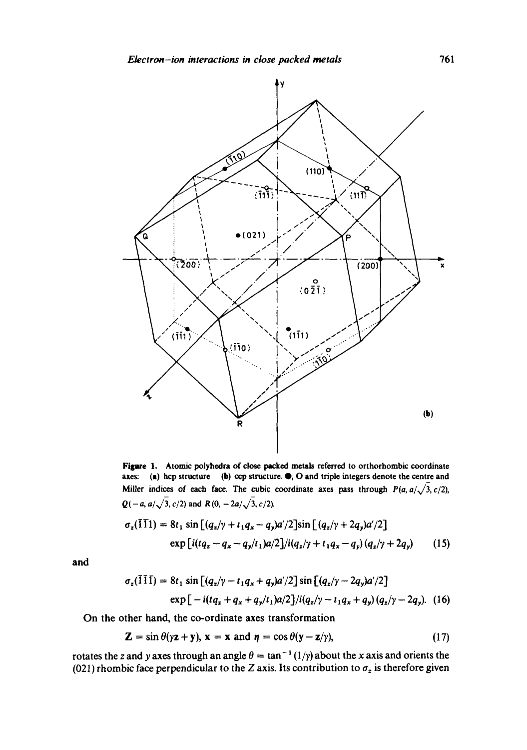

Figure 1. Atomic polyhedra of close packed metals referred to orthorhombic coordinate axes: (a) hcp structure (b) ccp structure.  $\bullet$ , O and triple integers denote the centre and Miller indices of each face. The cubic coordinate axes pass through  $P(a, a/\sqrt{3}, c/2)$ ,  $Q(-a, a/\sqrt{3}, c/2)$  and  $R(0, -2a/\sqrt{3}, c/2)$ .

$$
\sigma_z(\bar{1}\bar{1}) = 8t_1 \sin\left[(q_z/\gamma + t_1q_x - q_y)a'/2\right] \sin\left[(q_z/\gamma + 2q_y)a'/2\right]
$$
  
exp $\left[i(tq_z - q_x - q_y/t_1)a/2\right]/i(q_z/\gamma + t_1q_x - q_y)(q_z/\gamma + 2q_y)$  (15)

**and** 

$$
\sigma_z(\bar{1}\bar{1}\bar{1}) = 8t_1 \sin\left[(q_z/\gamma - t_1q_x + q_y)a'/2\right] \sin\left[(q_z/\gamma - 2q_y)a'/2\right]
$$
  
exp[-i(tq\_z + q\_x + q\_y/t\_1)a/2]/i(q\_z/\gamma - t\_1q\_x + q\_y)(q\_z/\gamma - 2q\_y). (16)

**On the other hand, the co-ordinate axes transformation** 

$$
\mathbf{Z} = \sin \theta (\gamma \mathbf{z} + \mathbf{y}), \mathbf{x} = \mathbf{x} \text{ and } \mathbf{\eta} = \cos \theta (\mathbf{y} - \mathbf{z}/\gamma), \tag{17}
$$

rotates the z and y axes through an angle  $\theta = \tan^{-1}(1/\gamma)$  about the x axis and orients the (021) rhombic face perpendicular to the Z axis. Its contribution to  $\sigma_z$  is therefore given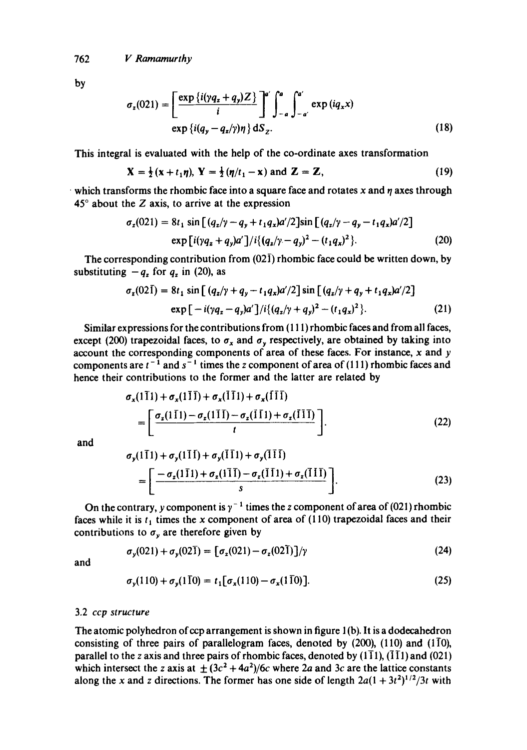762 *V Ramamurthy* 

by

$$
\sigma_z(021) = \left[\frac{\exp\left\{i(yq_z + q_y)Z\right\}}{i}\right]^{\alpha'} \int_{-\alpha}^{\alpha} \int_{-\alpha}^{\alpha'} \exp\left(iq_x x\right) \exp\left\{i(q_y - q_z/\gamma)\eta\right\} dS_z.
$$
\n(18)

This integral is evaluated with the help of the co-ordinate axes transformation

$$
\mathbf{X} = \frac{1}{2}(\mathbf{x} + t_1\boldsymbol{\eta}), \ \mathbf{Y} = \frac{1}{2}(\boldsymbol{\eta}/t_1 - \mathbf{x}) \text{ and } \mathbf{Z} = \mathbf{Z}, \tag{19}
$$

 $\cdot$  which transforms the rhombic face into a square face and rotates x and  $\eta$  axes through  $45^\circ$  about the Z axis, to arrive at the expression

$$
\sigma_z(021) = 8t_1 \sin \left[ (q_z/\gamma - q_y + t_1 q_x) a'/2 \right] \sin \left[ (q_z/\gamma - q_y - t_1 q_x) a'/2 \right]
$$
  
exp  $\left[ i(\gamma q_z + q_y) a' \right] / i \{ (q_z/\gamma - q_y)^2 - (t_1 q_x)^2 \}.$  (20)

The corresponding contribution from  $(02\bar{1})$  rhombic face could be written down, by substituting  $-q_z$  for  $q_z$  in (20), as

$$
\sigma_z(02\bar{1}) = 8t_1 \sin\left[ (q_z/\gamma + q_y - t_1 q_x)a'/2 \right] \sin\left[ (q_z/\gamma + q_y + t_1 q_x)a'/2 \right]
$$
  
\n
$$
\exp\left[ -i(\gamma q_z - q_y)a'\right]/i\{(q_z/\gamma + q_y)^2 - (t_1 q_x)^2\}.
$$
 (21)

Similar expressions for the contributions from ( 11 l) rhombic faces and from all faces, except (200) trapezoidal faces, to  $\sigma_x$  and  $\sigma_y$  respectively, are obtained by taking into account the corresponding components of area of these faces. For instance, x and y components are  $t^{-1}$  and  $s^{-1}$  times the z component of area of (111) rhombic faces and hence their contributions to the former and the latter are related by

$$
\sigma_x(1\overline{1}1) + \sigma_x(1\overline{1}1) + \sigma_x(1\overline{1}1) + \sigma_x(1\overline{1}1)
$$
\n
$$
= \left[ \frac{\sigma_x(1\overline{1}1) - \sigma_x(1\overline{1}1) - \sigma_x(1\overline{1}1) + \sigma_x(1\overline{1}1)}{t} \right].
$$
\n(22)

and

$$
\sigma_{y}(1\overline{1}1) + \sigma_{y}(1\overline{1}1) + \sigma_{y}(1\overline{1}1) + \sigma_{y}(1\overline{1}1)
$$
  
= 
$$
\left[ \frac{-\sigma_{z}(1\overline{1}1) + \sigma_{z}(1\overline{1}1) - \sigma_{z}(1\overline{1}1) + \sigma_{z}(1\overline{1}1)}{s} \right].
$$
 (23)

On the contrary, y component is  $\gamma^{-1}$  times the z component of area of (021) rhombic faces while it is  $t_1$  times the x component of area of (110) trapezoidal faces and their contributions to  $\sigma_y$  are therefore given by

$$
\sigma_{y}(021) + \sigma_{y}(02\overline{1}) = [\sigma_{z}(021) - \sigma_{z}(02\overline{1})]/\gamma
$$
\n(24)

and

$$
\sigma_{y}(110) + \sigma_{y}(1\bar{1}0) = t_{1} [\sigma_{x}(110) - \sigma_{x}(1\bar{1}0)].
$$
\n(25)

#### 3.2 *ccp structure*

The atomic polyhedron of ccp arrangement is shown in figure 1(b). It is a dodecahedron consisting of three pairs of parallelogram faces, denoted by  $(200)$ ,  $(110)$  and  $(110)$ , parallel to the z axis and three pairs of rhombic faces, denoted by  $(1\bar{1}1)$ ,  $(1\bar{1}1)$  and  $(021)$ which intersect the z axis at  $\pm (3c^2 + 4a^2)/6c$  where 2a and 3c are the lattice constants along the x and z directions. The former has one side of length  $2a(1 + 3t^2)^{1/2}/3t$  with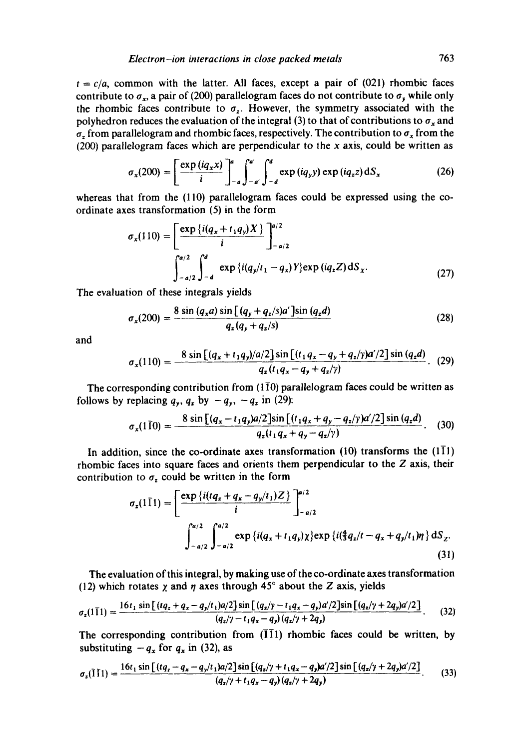$t = c/a$ , common with the latter. All faces, except a pair of  $(021)$  rhombic faces contribute to  $\sigma_x$ , a pair of (200) parallelogram faces do not contribute to  $\sigma_y$  while only the rhombic faces contribute to  $\sigma_z$ . However, the symmetry associated with the polyhedron reduces the evaluation of the integral (3) to that of contributions to  $\sigma_x$  and  $\sigma_z$  from parallelogram and rhombic faces, respectively. The contribution to  $\sigma_x$  from the  $(200)$  parallelogram faces which are perpendicular to the x axis, could be written as

$$
\sigma_x(200) = \left[\frac{\exp(iq_x x)}{i}\right]_{-a}^{a} \int_{-a}^{a'} \int_{-d}^{d} \exp(iq_y y) \exp(iq_z z) dS_x \tag{26}
$$

whereas that from the (110) parallelogram faces could be expressed using the coordinate axes transformation (5) in the form

$$
\sigma_x(110) = \left[\frac{\exp\left\{i(q_x + t_1 q_y)X\right\}}{i}\right]_{-a/2}^{a/2}
$$

$$
\int_{-a/2}^{a/2} \int_{-d}^{d} \exp\left\{i(q_y/t_1 - q_x)Y\right\} \exp\left(iq_z Z\right) dS_x. \tag{27}
$$

The evaluation of these integrals yields

$$
\sigma_x(200) = \frac{8 \sin (q_x a) \sin [(q_y + q_z/s)a'] \sin (q_z d)}{q_z (q_y + q_z/s)}
$$
(28)

and

$$
\sigma_x(110) = \frac{8 \sin \left[ (q_x + t_1 q_y)/a/2 \right] \sin \left[ (t_1 q_x - q_y + q_z/\gamma)a'/2 \right] \sin (q_z d)}{q_z(t_1 q_x - q_y + q_z/\gamma)}.
$$
 (29)

The corresponding contribution from  $(1\bar{1}0)$  parallelogram faces could be written as follows by replacing  $q_y$ ,  $q_z$  by  $-q_y$ ,  $-q_z$  in (29):

$$
\sigma_x(1\,\overline{1}0) = \frac{8\sin\left[(q_x - t_1q_y)a/2\right]\sin\left[(t_1q_x + q_y - q_z/\gamma)a'/2\right]\sin\left(q_zd\right)}{q_z(t_1q_x + q_y - q_z/\gamma)}.\tag{30}
$$

In addition, since the co-ordinate axes transformation  $(10)$  transforms the  $(1\bar{1}1)$ rhombic faces into square faces and orients them perpendicular to the Z axis, their contribution to  $\sigma_z$  could be written in the form

$$
\sigma_z(1\bar{1}1) = \left[\frac{\exp\left\{i(tq_z + q_x - q_y/t_1)Z\right\}}{i}\right]_{-a/2}^{a/2}
$$

$$
\int_{-a/2}^{a/2} \int_{-a/2}^{a/2} \exp\left\{i(q_x + t_1 q_y)\chi\right\} \exp\left\{i(\frac{4}{3}q_z/t - q_x + q_y/t_1)\eta\right\} dS_z.
$$
(31)

The evaluation of this integral, by making use of the co-ordinate axes transformation (12) which rotates  $\chi$  and  $\eta$  axes through 45° about the Z axis, yields

$$
\sigma_z(1\bar{1}1) = \frac{16t_1\sin\left[(tq_z+q_x-q_y/t_1)a/2\right]\sin\left[(q_z/y-t_1q_x-q_y)a'/2\right]\sin\left[(q_z/y+2q_y)a'/2\right]}{(q_z/y-t_1q_x-q_y)(q_z/y+2q_y)}.
$$
 (32)

The corresponding contribution from  $(\overline{11}1)$  rhombic faces could be written, by substituting  $-q_x$  for  $q_x$  in (32), as

$$
\sigma_z(\bar{1}\bar{1}1) = \frac{16t_1\sin\left[(tq_z - q_x - q_y/t_1)a/2\right]\sin\left[(q_z/\gamma + t_1q_x - q_y)a'/2\right]\sin\left[(q_z/\gamma + 2q_y)a'/2\right]}{(q_z/\gamma + t_1q_x - q_y)(q_z/\gamma + 2q_y)}.
$$
(33)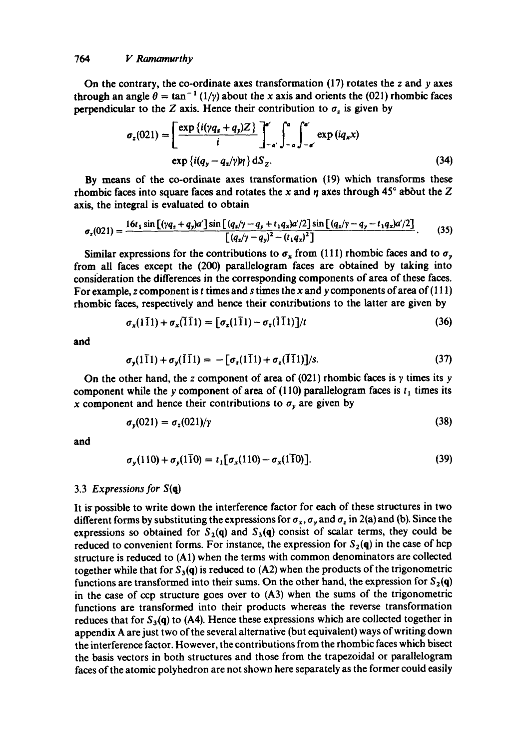#### *764 V Ramamurthy*

On the contrary, the co-ordinate axes transformation  $(17)$  rotates the z and y axes through an angle  $\theta = \tan^{-1}(1/\gamma)$  about the x axis and orients the (021) rhombic faces perpendicular to the Z axis. Hence their contribution to  $\sigma_z$  is given by

$$
\sigma_z(021) = \left[\frac{\exp\left\{i(\gamma q_z + q_y)Z\right\}}{i}\right]_{-a'}^{a'} \int_{-a}^{a} \int_{-a'}^{a'} \exp\left(iq_x x\right) \exp\left\{i(q_y - q_z/\gamma)\eta\right\} dS_z.
$$
\n(34)

**By** means of the co-ordinate axes transformation (19) which transforms these rhombic faces into square faces and rotates the x and  $\eta$  axes through 45° about the Z axis, the integral is evaluated to obtain

$$
\sigma_z(021) = \frac{16t_1\sin\left[(\gamma q_z + q_y)\alpha'\right]\sin\left[(q_z/\gamma - q_y + t_1q_x)\alpha'/2\right]\sin\left[(q_z/\gamma - q_y - t_1q_x)\alpha'/2\right]}{\left[(q_z/\gamma - q_y)^2 - (t_1q_x)^2\right]}.
$$
(35)

Similar expressions for the contributions to  $\sigma_x$  from (111) rhombic faces and to  $\sigma_y$ from all faces except the (200) parallelogram faces are obtained by taking into consideration the differences in the corresponding components of area of these faces. For example, z component is t times and s times the x and y components of area of  $(111)$ rhombic faces, respectively and hence their contributions to the latter are given by

$$
\sigma_x(1\bar{1}1) + \sigma_x(\bar{1}\bar{1}1) = [\sigma_x(1\bar{1}1) - \sigma_x(1\bar{1}1)]/t \qquad (36)
$$

and

$$
\sigma_{\mathbf{y}}(1\bar{1}1) + \sigma_{\mathbf{y}}(\bar{1}\bar{1}1) = -[\sigma_{\mathbf{z}}(1\bar{1}1) + \sigma_{\mathbf{z}}(\bar{1}\bar{1}1)]/s. \tag{37}
$$

On the other hand, the z component of area of (021) rhombic faces is  $\gamma$  times its y component while the y component of area of (110) parallelogram faces is  $t_1$  times its x component and hence their contributions to  $\sigma_y$  are given by

$$
\sigma_{\mathbf{y}}(021) = \sigma_{\mathbf{z}}(021)/\gamma \tag{38}
$$

and

$$
\sigma_{y}(110) + \sigma_{y}(1\bar{1}0) = t_{1}[\sigma_{x}(110) - \sigma_{x}(1\bar{1}0)].
$$
\n(39)

### 3.3 *Expressions for* S(q)

It is possible to write down the interference factor for each of these structures in two different forms by substituting the expressions for  $\sigma_x$ ,  $\sigma_y$  and  $\sigma_z$  in 2(a) and (b). Since the expressions so obtained for  $S_2(q)$  and  $S_3(q)$  consist of scalar terms, they could be reduced to convenient forms. For instance, the expression for  $S_2(q)$  in the case of hcp structure is reduced to (A1) when the terms with common denominators are collected together while that for  $S_3(q)$  is reduced to (A2) when the products of the trigonometric functions are transformed into their sums. On the other hand, the expression for  $S_2(q)$ in the case of ccp structure goes over to (A3) when the sums of the trigonometric functions are transformed into their products whereas the reverse transformation reduces that for  $S_3(q)$  to (A4). Hence these expressions which are collected together in appendix A are just two of the several alternative (but equivalent) ways of writing down the interference factor. However, the contributions from the rhombic faces which bisect the basis vectors in both structures and those from the trapezoidal or parallelogram faces of the atomic polyhedron are not shown here separately as the former could easily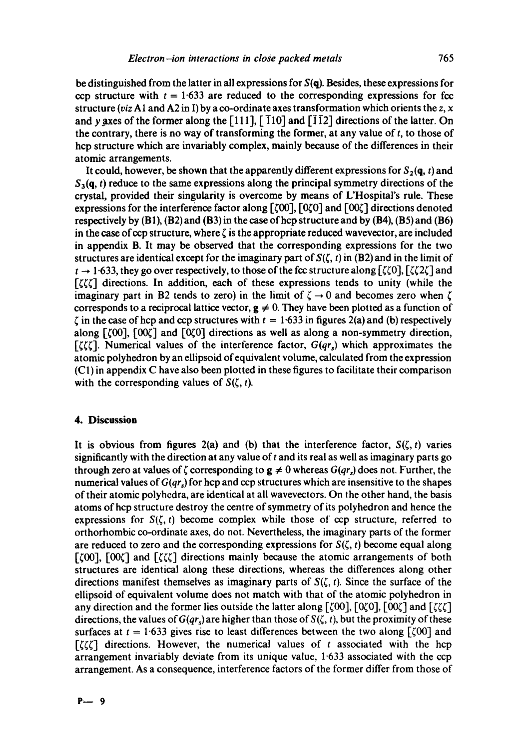be distinguished from the latter in all expressions for  $S(q)$ . Besides, these expressions for ccp structure with  $t = 1.633$  are reduced to the corresponding expressions for fcc structure *(viz* A1 and A2 in I) by a co-ordinate axes transformation which orients the  $z, x$ and y axes of the former along the [111],  $\lceil 11 \rceil$ ,  $\lceil 11 \rceil$  and  $\lceil 11 \rceil$  directions of the latter. On the contrary, there is no way of transforming the former, at any value of  $t$ , to those of hcp structure which are invariably complex, mainly because of the differences in their atomic arrangements.

It could, however, be shown that the apparently different expressions for  $S_2(q, t)$  and  $S_3(q, t)$  reduce to the same expressions along the principal symmetry directions of the crystal, provided their singularity is overcome by means of L'Hospital's rule. These expressions for the interference factor along  $\lceil \zeta 00 \rceil$ ,  $\lceil 0\zeta 0 \rceil$  directions denoted respectively by  $(B1)$ ,  $(B2)$  and  $(B3)$  in the case of hcp structure and by  $(B4)$ ,  $(B5)$  and  $(B6)$ in the case of ccp structure, where  $\zeta$  is the appropriate reduced wavevector, are included in appendix B. It may be observed that the corresponding expressions for the two structures are identical except for the imaginary part of  $S(\zeta, t)$  in (B2) and in the limit of  $t \rightarrow 1.633$ , they go over respectively, to those of the fcc structure along  $[\zeta(0), [\zeta(2\zeta)]$  and  $[\zeta \zeta \zeta]$  directions. In addition, each of these expressions tends to unity (while the imaginary part in B2 tends to zero) in the limit of  $\zeta \rightarrow 0$  and becomes zero when  $\zeta$ corresponds to a reciprocal lattice vector,  $g \neq 0$ . They have been plotted as a function of  $\zeta$  in the case of hcp and ccp structures with  $t = 1.633$  in figures 2(a) and (b) respectively along  $[500]$ ,  $[00\zeta]$  and  $[0\zeta 0]$  directions as well as along a non-symmetry direction,  $[\zeta \zeta \zeta]$ . Numerical values of the interference factor,  $G(qr_s)$  which approximates the atomic polyhedron by an ellipsoid of equivalent volume, calculated from the expression (CI) in appendix C have also been plotted in these figures to facilitate their comparison with the corresponding values of  $S(\zeta, t)$ .

## **4. Discussion**

It is obvious from figures 2(a) and (b) that the interference factor,  $S(\zeta, t)$  varies significantly with the direction at any value of  $t$  and its real as well as imaginary parts go through zero at values of  $\zeta$  corresponding to  $g \neq 0$  whereas  $G(qr_s)$  does not. Further, the numerical values of  $G(qr_s)$  for hcp and ccp structures which are insensitive to the shapes of their atomic polyhedra, are identical at all wavevectors. On the other hand, the basis atoms ofhcp structure destroy the centre of symmetry of its polyhedron and hence the expressions for  $S(\zeta, t)$  become complex while those of ccp structure, referred to orthorhombic co-ordinate axes, do not. Nevertheless, the imaginary parts of the former are reduced to zero and the corresponding expressions for  $S(\zeta, t)$  become equal along  $[500]$ ,  $[00\zeta]$  and  $[5\zeta\zeta]$  directions mainly because the atomic arrangements of both structures are identical along these directions, whereas the differences along other directions manifest themselves as imaginary parts of  $S(\zeta, t)$ . Since the surface of the ellipsoid of equivalent volume does not match with that of the atomic polyhedron in any direction and the former lies outside the latter along  $[500]$ ,  $[00]$ ,  $[00]$  and  $[50]$ directions, the values of  $G(qr_s)$  are higher than those of  $S(\zeta, t)$ , but the proximity of these surfaces at  $t = 1.633$  gives rise to least differences between the two along [ $\zeta$ 00] and  $[\zeta(\zeta)]$  directions. However, the numerical values of t associated with the hcp arrangement invariably deviate from its unique value, 1-633 associated with the ccp arrangement. As a consequence, interference factors of the former differ from those of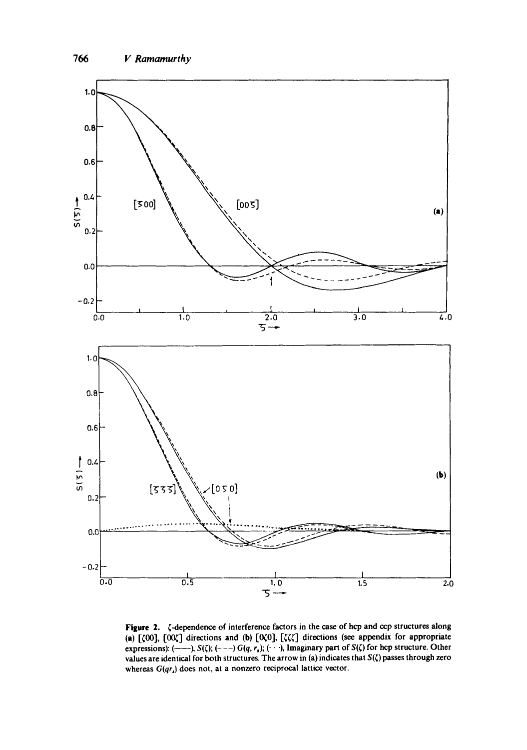

Figure 2.  $\zeta$ -dependence of interference factors in the case of hcp and ccp structures along (a)  $[\zeta 00]$ ,  $[00\zeta]$  directions and (b)  $[\zeta \zeta \zeta]$  directions (see appendix for appropriate expressions):  $(-\rightarrow)$ , S( $\zeta$ );  $(-\rightarrow)$  *G(q, r<sub>s</sub>*);  $(\cdot \cdot \cdot)$ , Imaginary part of S( $\zeta$ ) for hcp structure. Other values are identical for both structures. The arrow in (a) indicates that  $S(\zeta)$  passes through zero whereas  $G(qr_s)$  does not, at a nonzero reciprocal lattice vector.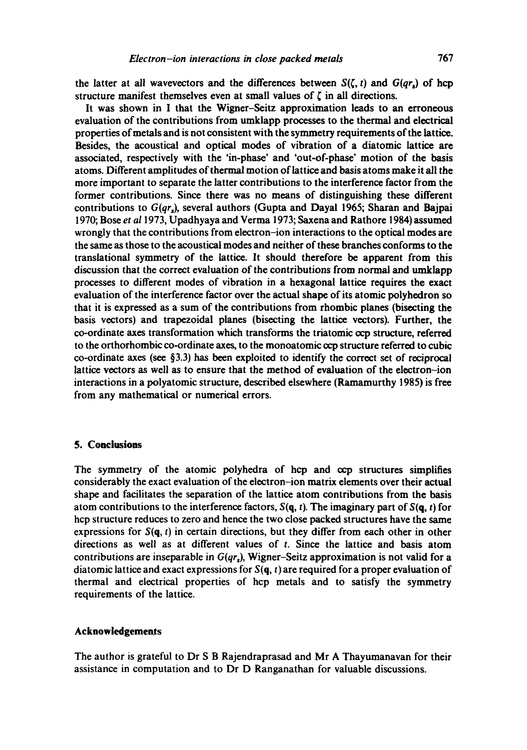the latter at all wavevectors and the differences between  $S(\zeta, t)$  and  $G(qr_s)$  of hcp structure manifest themselves even at small values of  $\zeta$  in all directions.

It was shown in I that the Wigner-Seitz approximation leads to an erroneous evaluation of the contributions from umklapp processes to the thermal and electrical properties of metals and is not consistent with the symmetry requirements of the lattice. Besides, the acoustical and optical modes of vibration of a diatomic lattice are associated, respectively with the 'in-phase' and 'out-of-phase' motion of the basis atoms. Different amplitudes of thermal motion of lattice and basis atoms make it all the more important to separate the latter contributions to the interference factor from the former contributions. Since there was no means of distinguishing these different contributions to *G(qr~),* several authors (Gupta and Dayal 1965; Sharan and Bajpai 1970; Bose *et a11973,* Upadhyaya and Verma 1973; Saxena and Rathore 1984) assumed wrongly that the contributions from electron-ion interactions to the optical modes are the same as those to the acoustical modes and neither of these branches conforms to the translational symmetry of the lattice. It should therefore be apparent from this discussion that the correct evaluation of the contributions from normal and umklapp processes to different modes of vibration in a hexagonal lattice requires the exact evaluation of the interference factor over the actual shape of its atomic polyhedron so that it is expressed as a sum of the contributions from rhombic planes (bisecting the basis vectors) and trapezoidal planes (bisecting the lattice vectors). Further, the  $co$ -ordinate axes transformation which transforms the triatomic  $\infty$ p structure, referred to the orthorhombic co-ordinate axes, to the monoatomic cop structure referred to cubic co-ordinate axes (see  $\S$ 3.3) has been exploited to identify the correct set of reciprocal lattice vectors as well as to ensure that the method of evaluation of the electron-ion interactions in a polyatomic structure, described elsewhere (Ramamurthy 1985) is free from any mathematical or numerical errors.

### **5. Conclusions**

The symmetry of the atomic polyhedra of hcp and ccp structures simplifies considerably the exact evaluation of the electron-ion matrix elements over their actual shape and facilitates the separation of the lattice atom contributions from the basis atom contributions to the interference factors,  $S(\mathbf{q}, t)$ . The imaginary part of  $S(\mathbf{q}, t)$  for hcp structure reduces to zero and hence the two close packed structures have the same expressions for  $S(q, t)$  in certain directions, but they differ from each other in other directions as well as at different values of  $t$ . Since the lattice and basis atom contributions are inseparable in *G(qrs),* Wigner-Seitz approximation is not valid for a diatomic lattice and exact expressions for  $S(q, t)$  are required for a proper evaluation of thermal and electrical properties of hcp metals and to satisfy the symmetry requirements of the lattice.

### **Acknowledgements**

The author is grateful to Dr S B Rajendraprasad and Mr A Thayumanavan for their assistance in computation and to Dr D Ranganathan for valuable discussions.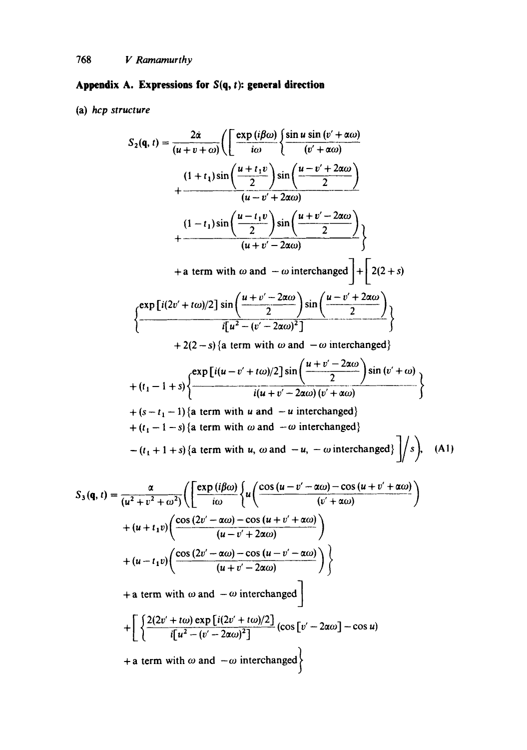# Appendix A. Expressions for  $S(q, t)$ : general direction

(a) *hcp structure* 

$$
S_2(\mathbf{q}, t) = \frac{2\dot{\alpha}}{(u+v+\alpha)} \Biggl( \Biggl[ \frac{\exp(i\beta\omega)}{i\omega} \Biggl\{ \frac{\sin u \sin(v' + \alpha\omega)}{(v' + \alpha\omega)} + \frac{(1+t_1)\sin\left(\frac{u+t_1v}{2}\right)\sin\left(\frac{u-v'+2\alpha\omega}{2}\right)}{(u-v'+2\alpha\omega)} + \frac{(1-t_1)\sin\left(\frac{u-t_1v}{2}\right)\sin\left(\frac{u+v'-2\alpha\omega}{2}\right)}{(u+v'-2\alpha\omega)} \Biggr\} + \text{ a term with } \omega \text{ and } -\omega \text{ interchanged} \Biggr\} + \Biggl[ 2(2+s)
$$
\n
$$
\Biggl\{ \frac{\exp[i(2v'+t\omega)/2] \sin\left(\frac{u+v'-2\alpha\omega}{2}\right) \sin\left(\frac{u-v'+2\alpha\omega}{2}\right)}{i[u^2-(v'-2\alpha\omega)^2]} \Biggr\} + 2(2-s) \Biggl\{ \text{ a term with } \omega \text{ and } -\omega \text{ interchanged} \Biggr\} + (t_1-1+s) \Biggl\{ \frac{\exp[i(u-v'+t\omega)/2] \sin\left(\frac{u+v'-2\alpha\omega}{2}\right)}{i(u+v'-2\alpha\omega)(v'+\alpha\omega)} \Biggr\} + (t_1-1+s) \Biggl\{ \text{ a term with } u \text{ and } -u \text{ interchanged} \Biggr\} + (t_1-1-s) \Biggl\{ \text{ a term with } \omega \text{ and } -u \text{ interchanged} \Biggr\} - (t_1+1+s) \Biggl\{ \text{ a term with } \omega \text{ and } -u \text{ interchanged} \Biggr) \Biggr\} \Biggr\}.
$$
\n
$$
S_3(\mathbf{q}, t) = \frac{\alpha}{(u^2+v^2+\omega^2)} \Biggl( \Biggl[ \frac{\exp(i\beta\omega)}{i\omega} \Biggl\{ u \Biggl( \frac{\cos(u-v'-\alpha\omega)-\cos(u+v'+\alpha\omega)}{(v'+\alpha\omega)} \Biggr) + (u+t_1v) \Biggl( \frac{\cos(2v'-\alpha\omega)-\cos(u-v'-\alpha\omega)}{(u+v'-2\alpha\omega)} \Biggr) \Biggr\} + \text{ a term with } \omega \text{ and } -\omega \text{ interchanged} \Biggr) + \Biggl[ \frac{
$$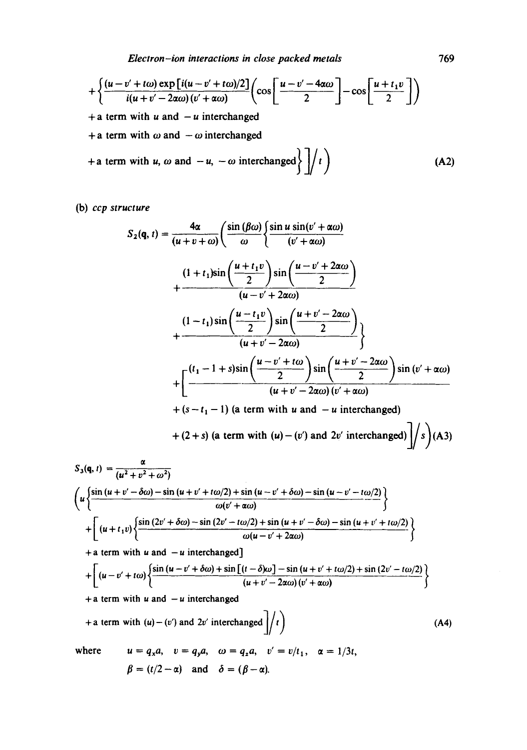*Electron-ion interactions in close packed metals* 769

$$
+\left\{\frac{(u-v'+t\omega)\exp[i(u-v'+t\omega)/2]}{i(u+v'-2\alpha\omega)(v'+\alpha\omega)}\left(\cos\left[\frac{u-v'-4\alpha\omega}{2}\right]-\cos\left[\frac{u+t_1v}{2}\right]\right)\right\}
$$

 $+$  a term with u and  $-u$  interchanged

+ a term with  $\omega$  and  $-\omega$  interchanged

$$
+ a term with u, \omega and -u, -\omega interchanged  $\left\{ \frac{1}{t} \right\}$  (A2)
$$

(b) *ccp structure* 

$$
S_2(\mathbf{q}, t) = \frac{4\alpha}{(u+v+\omega)} \left( \frac{\sin(\beta\omega)}{\omega} \left\{ \frac{\sin u \sin(v' + \alpha\omega)}{(v' + \alpha\omega)} + \frac{(1+t_1)\sin\left(\frac{u+t_1v}{2}\right)\sin\left(\frac{u-v'+2\alpha\omega}{2}\right)}{(u-v'+2\alpha\omega)} + \frac{(1-t_1)\sin\left(\frac{u-t_1v}{2}\right)\sin\left(\frac{u+v'-2\alpha\omega}{2}\right)}{(u+v'-2\alpha\omega)} \right\}
$$
  
+ 
$$
\frac{(1-t_1)\sin\left(\frac{u-t_1v}{2}\right)\sin\left(\frac{u+v'-2\alpha\omega}{2}\right)}{(u+v'-2\alpha\omega)(v'+\alpha\omega)} + \left[\frac{(t_1-1+s)\sin\left(\frac{u-v'+1\omega}{2}\right)\sin\left(\frac{u+v'-2\alpha\omega}{2}\right)\sin(v'+\alpha\omega)}{(u+v'-2\alpha\omega)(v'+\alpha\omega)} + (s-t_1-1) \text{ (a term with } u \text{ and } -u \text{ interchanged)} + (2+s) \text{ (a term with } (u) - (v') \text{ and } 2v' \text{ interchanged)} \right]/s \text{ (A3)}
$$
  

$$
S_3(\mathbf{q}, t) = \frac{\alpha}{(u^2+v^2+\omega^2)}
$$
  

$$
\left(u\left\{\frac{\sin(u+v'-\delta\omega)-\sin(u+v'+\alpha/2)+\sin(u-v'+\delta\omega)-\sin(u-v'-\alpha/2)}{\omega(v'+\alpha\omega)}\right\} + \left[\frac{(u+t_1v)\left\{\frac{\sin(2v'+\delta\omega)-\sin(2v'-\alpha/2)+\sin(2v'+2\alpha\omega)}{\omega(u-v'+2\alpha\omega)}\right\} + a \text{ term with } u \text{ and } -u \text{ interchanged}
$$
  
+ a term with } u \text{ and } -u \text{ interchanged}  
+ a term with  $u$  and  $-u \text{ interchanged}$   
+ a term with  $u$  and  $-u \text{ interchanged}$   
+ a term with  $(u) - (v')$  and  $2v'$  interchanged  $\left| f \right|$  (A4)

 $\ddotmark$ 

where 
$$
u = q_x a
$$
,  $v = q_y a$ ,  $\omega = q_z a$ ,  $v' = v/t_1$ ,  $\alpha = 1/3t$ ,  
 $\beta = (t/2 - \alpha)$  and  $\delta = (\beta - \alpha)$ .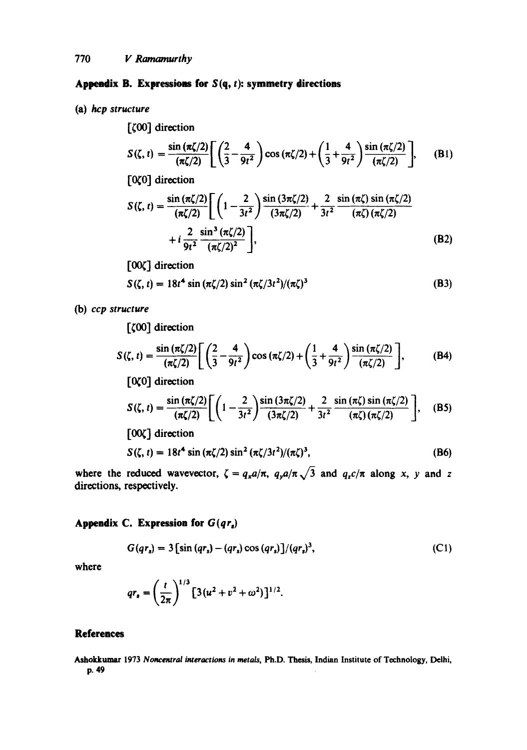## **Appendix B. Expressions for**  $S(q, t)$ **: symmetry directions**

(a) *hcp structure* 

[ ${00}$ ] direction  $S(\zeta, t) = \frac{\sin (\pi \zeta/2)}{(\pi \zeta/2)} \left[ \left( \frac{2}{3} - \frac{4}{9t^2} \right) \cos (\pi \zeta/2) + \left( \frac{1}{3} + \frac{4}{9t^2} \right) \frac{\sin (\pi \zeta/2)}{(\pi \zeta/2)} \right],$  $(B1)$ 

[OCO] direction

$$
S(\zeta, t) = \frac{\sin(\pi \zeta/2)}{(\pi \zeta/2)} \Biggl[ \left( 1 - \frac{2}{3t^2} \right) \frac{\sin(3\pi \zeta/2)}{(3\pi \zeta/2)} + \frac{2}{3t^2} \frac{\sin(\pi \zeta) \sin(\pi \zeta/2)}{(\pi \zeta) (\pi \zeta/2)} + i \frac{2}{9t^2} \frac{\sin^3(\pi \zeta/2)}{(\pi \zeta/2)^2} \Biggr],
$$
(B2)

[00 $\zeta$ ] direction

$$
S(\zeta, t) = 18t^4 \sin(\pi \zeta/2) \sin^2(\pi \zeta/3t^2) / (\pi \zeta)^3
$$
 (B3)

(b) *ccp structure* 

 $[\zeta 00]$  direction

$$
S(\zeta, t) = \frac{\sin(\pi \zeta/2)}{(\pi \zeta/2)} \left[ \left( \frac{2}{3} - \frac{4}{9t^2} \right) \cos(\pi \zeta/2) + \left( \frac{1}{3} + \frac{4}{9t^2} \right) \frac{\sin(\pi \zeta/2)}{(\pi \zeta/2)} \right],
$$
 (B4)

 $[0,0]$  direction

$$
S(\zeta, t) = \frac{\sin(\pi \zeta/2)}{(\pi \zeta/2)} \Biggl[ \biggl( 1 - \frac{2}{3t^2} \biggr) \frac{\sin(3\pi \zeta/2)}{(3\pi \zeta/2)} + \frac{2}{3t^2} \frac{\sin(\pi \zeta) \sin(\pi \zeta/2)}{(\pi \zeta) (\pi \zeta/2)} \Biggr], \quad (B5)
$$

 $[00\zeta]$  direction

$$
S(\zeta, t) = 18t^4 \sin(\pi \zeta/2) \sin^2(\pi \zeta/3t^2) / (\pi \zeta)^3,
$$
 (B6)

where the reduced wavevector,  $\zeta = q_x a/\pi$ ,  $q_y a/\pi \sqrt{3}$  and  $q_z c/\pi$  along x, y and z directions, respectively.

## **Appendix C. Expression for** *G(qr.)*

$$
G(qr_s) = 3\left[\sin{(qr_s)} - (qr_s)\cos{(qr_s)}\right]/(qr_s)^3,
$$
 (C1)

where

$$
qr_s = \left(\frac{t}{2\pi}\right)^{1/3} \left[3(u^2 + v^2 + \omega^2)\right]^{1/2}.
$$

## **References**

Ashokkumar 1973 *Noncemral interactions in metals,* Ph.D. Thesis, Indian Institute of Technology, Delhi, p. 49